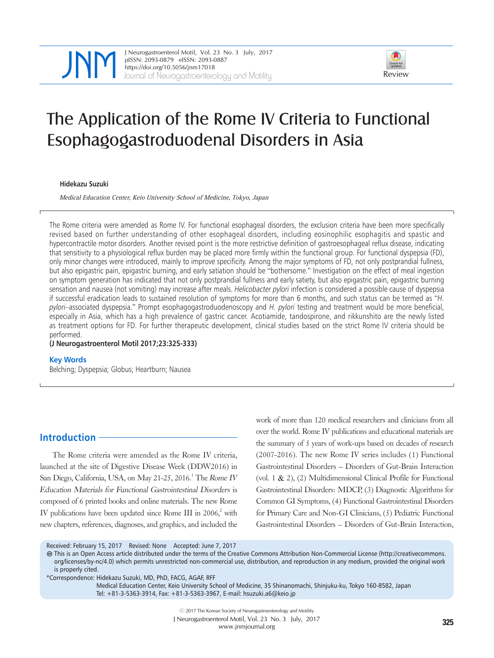



# The Application of the Rome IV Criteria to Functional Esophagogastroduodenal Disorders in Asia

#### **Hidekazu Suzuki**

Medical Education Center, Keio University School of Medicine, Tokyo, Japan

The Rome criteria were amended as Rome IV. For functional esophageal disorders, the exclusion criteria have been more specifically revised based on further understanding of other esophageal disorders, including eosinophilic esophagitis and spastic and hypercontractile motor disorders. Another revised point is the more restrictive definition of gastroesophageal reflux disease, indicating that sensitivity to a physiological reflux burden may be placed more firmly within the functional group. For functional dyspepsia (FD), only minor changes were introduced, mainly to improve specificity. Among the major symptoms of FD, not only postprandial fullness, but also epigastric pain, epigastric burning, and early satiation should be "bothersome." Investigation on the effect of meal ingestion on symptom generation has indicated that not only postprandial fullness and early satiety, but also epigastric pain, epigastric burning sensation and nausea (not vomiting) may increase after meals. Helicobacter pylori infection is considered a possible cause of dyspepsia if successful eradication leads to sustained resolution of symptoms for more than 6 months, and such status can be termed as "H. pylori-associated dyspepsia." Prompt esophagogastroduodenoscopy and H. pylori testing and treatment would be more beneficial, especially in Asia, which has a high prevalence of gastric cancer. Acotiamide, tandospirone, and rikkunshito are the newly listed as treatment options for FD. For further therapeutic development, clinical studies based on the strict Rome IV criteria should be performed.

**(J Neurogastroenterol Motil 2017;23:325-333)**

#### **Key Words**

Belching; Dyspepsia; Globus; Heartburn; Nausea

# **Introduction**

The Rome criteria were amended as the Rome IV criteria, launched at the site of Digestive Disease Week (DDW2016) in San Diego, California, USA, on May 21-25, 2016.<sup>1</sup> The Rome IV Education Materials for Functional Gastrointestinal Disorders is composed of 6 printed books and online materials. The new Rome IV publications have been updated since Rome III in  $2006<sub>1</sub><sup>2</sup>$  with new chapters, references, diagnoses, and graphics, and included the

work of more than 120 medical researchers and clinicians from all over the world. Rome IV publications and educational materials are the summary of 5 years of work-ups based on decades of research (2007-2016). The new Rome IV series includes (1) Functional Gastrointestinal Disorders – Disorders of Gut-Brain Interaction (vol. 1 & 2), (2) Multidimensional Clinical Profile for Functional Gastrointestinal Disorders: MDCP, (3) Diagnostic Algorithms for Common GI Symptoms, (4) Functional Gastrointestinal Disorders for Primary Care and Non-GI Clinicians, (5) Pediatric Functional Gastrointestinal Disorders – Disorders of Gut-Brain Interaction,

Received: February 15, 2017 Revised: None Accepted: June 7, 2017

This is an Open Access article distributed under the terms of the Creative Commons Attribution Non-Commercial License (http://creativecommons. org/licenses/by-nc/4.0) which permits unrestricted non-commercial use, distribution, and reproduction in any medium, provided the original work is properly cited.

Medical Education Center, Keio University School of Medicine, 35 Shinanomachi, Shinjuku-ku, Tokyo 160-8582, Japan Tel: +81-3-5363-3914, Fax: +81-3-5363-3967, E-mail: hsuzuki.a6@keio.jp

<sup>\*</sup>Correspondence: Hidekazu Suzuki, MD, PhD, FACG, AGAF, RFF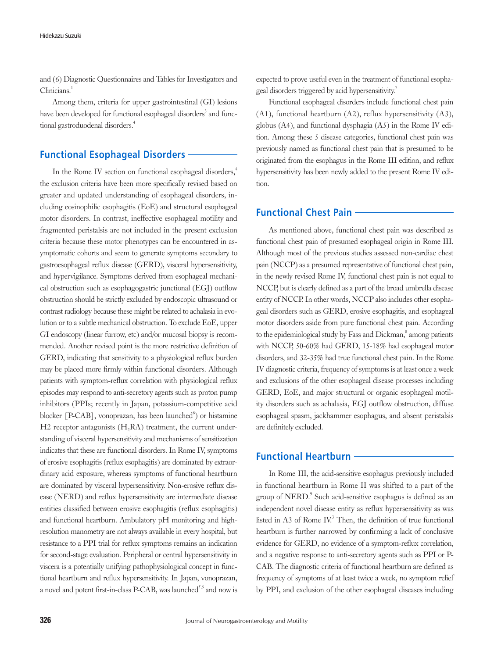and (6) Diagnostic Questionnaires and Tables for Investigators and Clinicians.<sup>1</sup>

Among them, criteria for upper gastrointestinal (GI) lesions have been developed for functional esophageal disorders<sup>3</sup> and functional gastroduodenal disorders.<sup>4</sup>

# **Functional Esophageal Disorders**

In the Rome IV section on functional esophageal disorders,<sup>4</sup> the exclusion criteria have been more specifically revised based on greater and updated understanding of esophageal disorders, including eosinophilic esophagitis (EoE) and structural esophageal motor disorders. In contrast, ineffective esophageal motility and fragmented peristalsis are not included in the present exclusion criteria because these motor phenotypes can be encountered in asymptomatic cohorts and seem to generate symptoms secondary to gastroesophageal reflux disease (GERD), visceral hypersensitivity, and hypervigilance. Symptoms derived from esophageal mechanical obstruction such as esophagogastric junctional (EGJ) outflow obstruction should be strictly excluded by endoscopic ultrasound or contrast radiology because these might be related to achalasia in evolution or to a subtle mechanical obstruction. To exclude EoE, upper GI endoscopy (linear furrow, etc) and/or mucosal biopsy is recommended. Another revised point is the more restrictive definition of GERD, indicating that sensitivity to a physiological reflux burden may be placed more firmly within functional disorders. Although patients with symptom-reflux correlation with physiological reflux episodes may respond to anti-secretory agents such as proton pump inhibitors (PPIs; recently in Japan, potassium-competitive acid blocker [P-CAB], vonoprazan, has been launched<sup>6</sup>) or histamine  $H2$  receptor antagonists  $(H<sub>2</sub>RA)$  treatment, the current understanding of visceral hypersensitivity and mechanisms of sensitization indicates that these are functional disorders. In Rome IV, symptoms of erosive esophagitis (reflux esophagitis) are dominated by extraordinary acid exposure, whereas symptoms of functional heartburn are dominated by visceral hypersensitivity. Non-erosive reflux disease (NERD) and reflux hypersensitivity are intermediate disease entities classified between erosive esophagitis (reflux esophagitis) and functional heartburn. Ambulatory pH monitoring and highresolution manometry are not always available in every hospital, but resistance to a PPI trial for reflux symptoms remains an indication for second-stage evaluation. Peripheral or central hypersensitivity in viscera is a potentially unifying pathophysiological concept in functional heartburn and reflux hypersensitivity. In Japan, vonoprazan, a novel and potent first-in-class P-CAB, was launched<sup>5,6</sup> and now is

expected to prove useful even in the treatment of functional esophageal disorders triggered by acid hypersensitivity.<sup>7</sup>

Functional esophageal disorders include functional chest pain (A1), functional heartburn (A2), reflux hypersensitivity (A3), globus (A4), and functional dysphagia (A5) in the Rome IV edition. Among these 5 disease categories, functional chest pain was previously named as functional chest pain that is presumed to be originated from the esophagus in the Rome III edition, and reflux hypersensitivity has been newly added to the present Rome IV edition.

## **Functional Chest Pain**

As mentioned above, functional chest pain was described as functional chest pain of presumed esophageal origin in Rome III. Although most of the previous studies assessed non-cardiac chest pain (NCCP) as a presumed representative of functional chest pain, in the newly revised Rome IV, functional chest pain is not equal to NCCP, but is clearly defined as a part of the broad umbrella disease entity of NCCP. In other words, NCCP also includes other esophageal disorders such as GERD, erosive esophagitis, and esophageal motor disorders aside from pure functional chest pain. According to the epidemiological study by Fass and Dickman,<sup>8</sup> among patients with NCCP, 50-60% had GERD, 15-18% had esophageal motor disorders, and 32-35% had true functional chest pain. In the Rome IV diagnostic criteria, frequency of symptoms is at least once a week and exclusions of the other esophageal disease processes including GERD, EoE, and major structural or organic esophageal motility disorders such as achalasia, EGJ outflow obstruction, diffuse esophageal spasm, jackhammer esophagus, and absent peristalsis are definitely excluded.

## **Functional Heartburn**

In Rome III, the acid-sensitive esophagus previously included in functional heartburn in Rome II was shifted to a part of the group of NERD.<sup>9</sup> Such acid-sensitive esophagus is defined as an independent novel disease entity as reflux hypersensitivity as was listed in A3 of Rome IV.<sup>3</sup> Then, the definition of true functional heartburn is further narrowed by confirming a lack of conclusive evidence for GERD, no evidence of a symptom-reflux correlation, and a negative response to anti-secretory agents such as PPI or P-CAB. The diagnostic criteria of functional heartburn are defined as frequency of symptoms of at least twice a week, no symptom relief by PPI, and exclusion of the other esophageal diseases including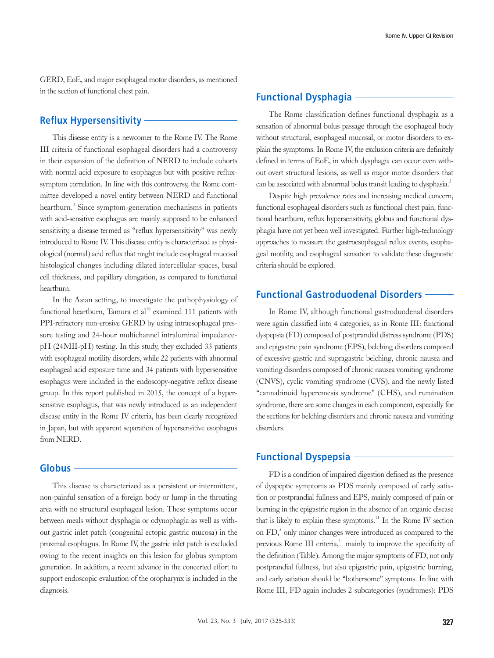GERD, EoE, and major esophageal motor disorders, as mentioned in the section of functional chest pain.

## **Reflux Hypersensitivity**

This disease entity is a newcomer to the Rome IV. The Rome III criteria of functional esophageal disorders had a controversy in their expansion of the definition of NERD to include cohorts with normal acid exposure to esophagus but with positive refluxsymptom correlation. In line with this controversy, the Rome committee developed a novel entity between NERD and functional heartburn.<sup>3</sup> Since symptom-generation mechanisms in patients with acid-sensitive esophagus are mainly supposed to be enhanced sensitivity, a disease termed as "reflux hypersensitivity" was newly introduced to Rome IV. This disease entity is characterized as physiological (normal) acid reflux that might include esophageal mucosal histological changes including dilated intercellular spaces, basal cell thickness, and papillary elongation, as compared to functional heartburn.

In the Asian setting, to investigate the pathophysiology of functional heartburn, Tamura et  $al<sup>10</sup>$  examined 111 patients with PPI-refractory non-erosive GERD by using intraesophageal pressure testing and 24-hour multichannel intraluminal impedancepH (24MII-pH) testing. In this study, they excluded 33 patients with esophageal motility disorders, while 22 patients with abnormal esophageal acid exposure time and 34 patients with hypersensitive esophagus were included in the endoscopy-negative reflux disease group. In this report published in 2015, the concept of a hypersensitive esophagus, that was newly introduced as an independent disease entity in the Rome IV criteria, has been clearly recognized in Japan, but with apparent separation of hypersensitive esophagus from NERD.

## **Globus**

This disease is characterized as a persistent or intermittent, non-painful sensation of a foreign body or lump in the throating area with no structural esophageal lesion. These symptoms occur between meals without dysphagia or odynophagia as well as without gastric inlet patch (congenital ectopic gastric mucosa) in the proximal esophagus. In Rome IV, the gastric inlet patch is excluded owing to the recent insights on this lesion for globus symptom generation. In addition, a recent advance in the concerted effort to support endoscopic evaluation of the oropharynx is included in the diagnosis.

## **Functional Dysphagia**

The Rome classification defines functional dysphagia as a sensation of abnormal bolus passage through the esophageal body without structural, esophageal mucosal, or motor disorders to explain the symptoms. In Rome IV, the exclusion criteria are definitely defined in terms of EoE, in which dysphagia can occur even without overt structural lesions, as well as major motor disorders that can be associated with abnormal bolus transit leading to dysphasia.<sup>3</sup>

Despite high prevalence rates and increasing medical concern, functional esophageal disorders such as functional chest pain, functional heartburn, reflux hypersensitivity, globus and functional dysphagia have not yet been well investigated. Further high-technology approaches to measure the gastroesophageal reflux events, esophageal motility, and esophageal sensation to validate these diagnostic criteria should be explored.

## **Functional Gastroduodenal Disorders**

In Rome IV, although functional gastroduodenal disorders were again classified into 4 categories, as in Rome III: functional dyspepsia (FD) composed of postprandial distress syndrome (PDS) and epigastric pain syndrome (EPS), belching disorders composed of excessive gastric and supragastric belching, chronic nausea and vomiting disorders composed of chronic nausea vomiting syndrome (CNVS), cyclic vomiting syndrome (CVS), and the newly listed "cannabinoid hyperemesis syndrome" (CHS), and rumination syndrome, there are some changes in each component, especially for the sections for belching disorders and chronic nausea and vomiting disorders.

# **Functional Dyspepsia**

FD is a condition of impaired digestion defined as the presence of dyspeptic symptoms as PDS mainly composed of early satiation or postprandial fullness and EPS, mainly composed of pain or burning in the epigastric region in the absence of an organic disease that is likely to explain these symptoms.<sup>11</sup> In the Rome IV section on  $FD<sub>1</sub><sup>5</sup>$  only minor changes were introduced as compared to the previous Rome III criteria,<sup>11</sup> mainly to improve the specificity of the definition (Table). Among the major symptoms of FD, not only postprandial fullness, but also epigastric pain, epigastric burning, and early satiation should be "bothersome" symptoms. In line with Rome III, FD again includes 2 subcategories (syndromes): PDS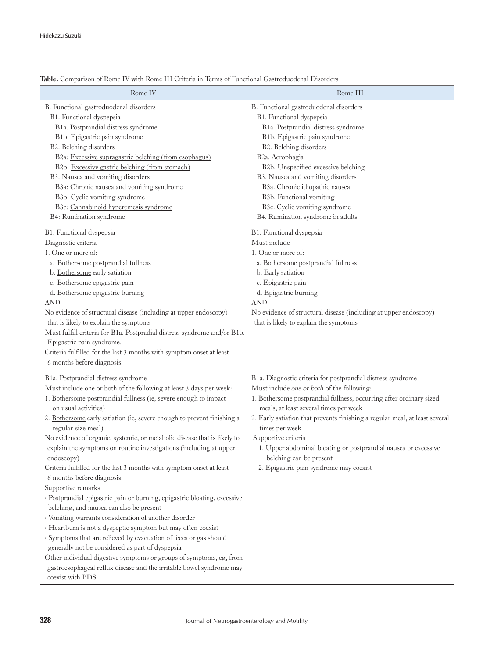| Rome IV                                                                                                                                                                                                                                                                                                                                                                                                                                                                                                                                                                                                                                                                                                                                                                                                                                                                                                                                                                        | Rome III                                                                                                                                                                                                                                                                                                                                                                                                                                                                                    |
|--------------------------------------------------------------------------------------------------------------------------------------------------------------------------------------------------------------------------------------------------------------------------------------------------------------------------------------------------------------------------------------------------------------------------------------------------------------------------------------------------------------------------------------------------------------------------------------------------------------------------------------------------------------------------------------------------------------------------------------------------------------------------------------------------------------------------------------------------------------------------------------------------------------------------------------------------------------------------------|---------------------------------------------------------------------------------------------------------------------------------------------------------------------------------------------------------------------------------------------------------------------------------------------------------------------------------------------------------------------------------------------------------------------------------------------------------------------------------------------|
| B. Functional gastroduodenal disorders<br>B1. Functional dyspepsia<br>B1a. Postprandial distress syndrome<br>B1b. Epigastric pain syndrome<br>B2. Belching disorders<br>B2a: Excessive supragastric belching (from esophagus)<br>B2b: Excessive gastric belching (from stomach)<br>B3. Nausea and vomiting disorders<br>B3a: Chronic nausea and vomiting syndrome<br>B3b: Cyclic vomiting syndrome<br>B3c: Cannabinoid hyperemesis syndrome<br>B4: Rumination syndrome                                                                                                                                                                                                                                                                                                                                                                                                                                                                                                         | B. Functional gastroduodenal disorders<br>B1. Functional dyspepsia<br>B1a. Postprandial distress syndrome<br>B1b. Epigastric pain syndrome<br>B2. Belching disorders<br>B2a. Aerophagia<br>B2b. Unspecified excessive belching<br>B3. Nausea and vomiting disorders<br>B3a. Chronic idiopathic nausea<br>B3b. Functional vomiting<br>B3c. Cyclic vomiting syndrome<br>B4. Rumination syndrome in adults                                                                                     |
| B1. Functional dyspepsia<br>Diagnostic criteria<br>1. One or more of:<br>a. Bothersome postprandial fullness<br>b. Bothersome early satiation<br>c. Bothersome epigastric pain<br>d. Bothersome epigastric burning<br><b>AND</b><br>No evidence of structural disease (including at upper endoscopy)<br>that is likely to explain the symptoms<br>Must fulfill criteria for B1a. Postpradial distress syndrome and/or B1b.<br>Epigastric pain syndrome.<br>Criteria fulfilled for the last 3 months with symptom onset at least<br>6 months before diagnosis.                                                                                                                                                                                                                                                                                                                                                                                                                  | B1. Functional dyspepsia<br>Must include<br>1. One or more of:<br>a. Bothersome postprandial fullness<br>b. Early satiation<br>c. Epigastric pain<br>d. Epigastric burning<br>AND<br>No evidence of structural disease (including at upper endoscopy)<br>that is likely to explain the symptoms                                                                                                                                                                                             |
| B1a. Postprandial distress syndrome<br>Must include one or both of the following at least 3 days per week:<br>1. Bothersome postprandial fullness (ie, severe enough to impact<br>on usual activities)<br>2. Bothersome early satiation (ie, severe enough to prevent finishing a<br>regular-size meal)<br>No evidence of organic, systemic, or metabolic disease that is likely to<br>explain the symptoms on routine investigations (including at upper<br>endoscopy)<br>Criteria fulfilled for the last 3 months with symptom onset at least<br>6 months before diagnosis.<br>Supportive remarks<br>· Postprandial epigastric pain or burning, epigastric bloating, excessive<br>belching, and nausea can also be present<br>· Vomiting warrants consideration of another disorder<br>· Heartburn is not a dyspeptic symptom but may often coexist<br>· Symptoms that are relieved by evacuation of feces or gas should<br>generally not be considered as part of dyspepsia | B1a. Diagnostic criteria for postprandial distress syndrome<br>Must include one or both of the following:<br>1. Bothersome postprandial fullness, occurring after ordinary sized<br>meals, at least several times per week<br>2. Early satiation that prevents finishing a regular meal, at least several<br>times per week<br>Supportive criteria<br>1. Upper abdominal bloating or postprandial nausea or excessive<br>belching can be present<br>2. Epigastric pain syndrome may coexist |

#### Table. Comparison of Rome IV with Rome III Criteria in Terms of Functional Gastroduodenal Disorders

Other individual digestive symptoms or groups of symptoms, eg, from gastroesophageal reflux disease and the irritable bowel syndrome may coexist with PDS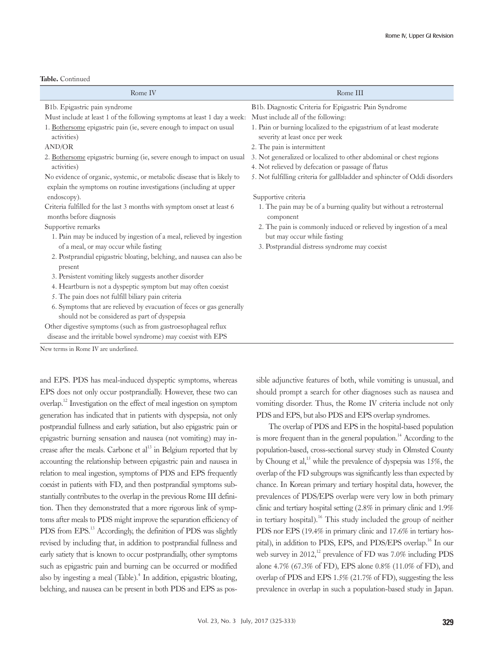| Table. Continued |
|------------------|
|                  |

| Rome IV                                                                                                                                        | Rome III                                                                                                |
|------------------------------------------------------------------------------------------------------------------------------------------------|---------------------------------------------------------------------------------------------------------|
| B1b. Epigastric pain syndrome                                                                                                                  | B1b. Diagnostic Criteria for Epigastric Pain Syndrome                                                   |
| Must include at least 1 of the following symptoms at least 1 day a week:                                                                       | Must include all of the following:                                                                      |
| 1. Bothersome epigastric pain (ie, severe enough to impact on usual<br>activities)                                                             | 1. Pain or burning localized to the epigastrium of at least moderate<br>severity at least once per week |
| <b>AND/OR</b>                                                                                                                                  | 2. The pain is intermittent                                                                             |
| 2. Bothersome epigastric burning (ie, severe enough to impact on usual                                                                         | 3. Not generalized or localized to other abdominal or chest regions                                     |
| activities)                                                                                                                                    | 4. Not relieved by defecation or passage of flatus                                                      |
| No evidence of organic, systemic, or metabolic disease that is likely to<br>explain the symptoms on routine investigations (including at upper | 5. Not fulfilling criteria for gallbladder and sphincter of Oddi disorders                              |
| endoscopy).                                                                                                                                    | Supportive criteria                                                                                     |
| Criteria fulfilled for the last 3 months with symptom onset at least 6<br>months before diagnosis                                              | 1. The pain may be of a burning quality but without a retrosternal<br>component                         |
| Supportive remarks                                                                                                                             | 2. The pain is commonly induced or relieved by ingestion of a meal                                      |
| 1. Pain may be induced by ingestion of a meal, relieved by ingestion                                                                           | but may occur while fasting                                                                             |
| of a meal, or may occur while fasting                                                                                                          | 3. Postprandial distress syndrome may coexist                                                           |
| 2. Postprandial epigastric bloating, belching, and nausea can also be<br>present                                                               |                                                                                                         |
| 3. Persistent vomiting likely suggests another disorder                                                                                        |                                                                                                         |
| 4. Heartburn is not a dyspeptic symptom but may often coexist                                                                                  |                                                                                                         |
| 5. The pain does not fulfill biliary pain criteria                                                                                             |                                                                                                         |
| 6. Symptoms that are relieved by evacuation of feces or gas generally                                                                          |                                                                                                         |
| should not be considered as part of dyspepsia                                                                                                  |                                                                                                         |
| Other digestive symptoms (such as from gastroesophageal reflux                                                                                 |                                                                                                         |
| disease and the irritable bowel syndrome) may coexist with EPS                                                                                 |                                                                                                         |
| New terms in Rome IV are underlined.                                                                                                           |                                                                                                         |

and EPS. PDS has meal-induced dyspeptic symptoms, whereas EPS does not only occur postprandially. However, these two can overlap.12 Investigation on the effect of meal ingestion on symptom generation has indicated that in patients with dyspepsia, not only postprandial fullness and early satiation, but also epigastric pain or epigastric burning sensation and nausea (not vomiting) may increase after the meals. Carbone et  $al<sup>13</sup>$  in Belgium reported that by accounting the relationship between epigastric pain and nausea in relation to meal ingestion, symptoms of PDS and EPS frequently coexist in patients with FD, and then postprandial symptoms substantially contributes to the overlap in the previous Rome III definition. Then they demonstrated that a more rigorous link of symptoms after meals to PDS might improve the separation efficiency of PDS from EPS.<sup>13</sup> Accordingly, the definition of PDS was slightly revised by including that, in addition to postprandial fullness and early satiety that is known to occur postprandially, other symptoms such as epigastric pain and burning can be occurred or modified also by ingesting a meal (Table).<sup>4</sup> In addition, epigastric bloating, belching, and nausea can be present in both PDS and EPS as possible adjunctive features of both, while vomiting is unusual, and should prompt a search for other diagnoses such as nausea and vomiting disorder. Thus, the Rome IV criteria include not only PDS and EPS, but also PDS and EPS overlap syndromes.

The overlap of PDS and EPS in the hospital-based population is more frequent than in the general population.<sup>14</sup> According to the population-based, cross-sectional survey study in Olmsted County by Choung et al,<sup>15</sup> while the prevalence of dyspepsia was 15%, the overlap of the FD subgroups was significantly less than expected by chance. In Korean primary and tertiary hospital data, however, the prevalences of PDS/EPS overlap were very low in both primary clinic and tertiary hospital setting (2.8% in primary clinic and 1.9% in tertiary hospital).<sup>16</sup> This study included the group of neither PDS nor EPS (19.4% in primary clinic and 17.6% in tertiary hospital), in addition to PDS, EPS, and PDS/EPS overlap.<sup>16</sup> In our web survey in  $2012$ ,<sup>12</sup> prevalence of FD was 7.0% including PDS alone 4.7% (67.3% of FD), EPS alone 0.8% (11.0% of FD), and overlap of PDS and EPS 1.5% (21.7% of FD), suggesting the less prevalence in overlap in such a population-based study in Japan.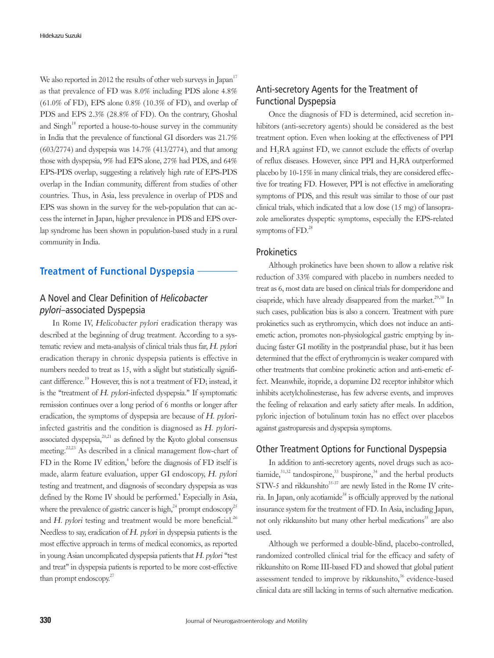We also reported in 2012 the results of other web surveys in Japan<sup>17</sup> as that prevalence of FD was 8.0% including PDS alone 4.8% (61.0% of FD), EPS alone 0.8% (10.3% of FD), and overlap of PDS and EPS 2.3% (28.8% of FD). On the contrary, Ghoshal and  $\text{Sing}h^{18}$  reported a house-to-house survey in the community in India that the prevalence of functional GI disorders was 21.7% (603/2774) and dyspepsia was 14.7% (413/2774), and that among those with dyspepsia, 9% had EPS alone, 27% had PDS, and 64% EPS-PDS overlap, suggesting a relatively high rate of EPS-PDS overlap in the Indian community, different from studies of other countries. Thus, in Asia, less prevalence in overlap of PDS and EPS was shown in the survey for the web-population that can access the internet in Japan, higher prevalence in PDS and EPS overlap syndrome has been shown in population-based study in a rural community in India.

# **Treatment of Functional Dyspepsia**

# A Novel and Clear Definition of Helicobacter pylori–associated Dyspepsia

In Rome IV, Helicobacter pylori eradication therapy was described at the beginning of drug treatment. According to a systematic review and meta-analysis of clinical trials thus far, H. pylori eradication therapy in chronic dyspepsia patients is effective in numbers needed to treat as 15, with a slight but statistically significant difference.<sup>19</sup> However, this is not a treatment of FD; instead, it is the "treatment of  $H$ . pylori-infected dyspepsia." If symptomatic remission continues over a long period of 6 months or longer after eradication, the symptoms of dyspepsia are because of H. pyloriinfected gastritis and the condition is diagnosed as H. pyloriassociated dyspepsia, $2^{0,21}$  as defined by the Kyoto global consensus meeting.22,23 As described in a clinical management flow-chart of FD in the Rome IV edition,<sup>4</sup> before the diagnosis of FD itself is made, alarm feature evaluation, upper GI endoscopy, H. pylori testing and treatment, and diagnosis of secondary dyspepsia as was defined by the Rome IV should be performed.<sup>4</sup> Especially in Asia, where the prevalence of gastric cancer is high,  $24$  prompt endoscopy<sup>25</sup> and H. pylori testing and treatment would be more beneficial.<sup>26</sup> Needless to say, eradication of H. pylori in dyspepsia patients is the most effective approach in terms of medical economics, as reported in young Asian uncomplicated dyspepsia patients that H. pylori "test and treat" in dyspepsia patients is reported to be more cost-effective than prompt endoscopy.<sup>27</sup>

# Anti-secretory Agents for the Treatment of Functional Dyspepsia

Once the diagnosis of FD is determined, acid secretion inhibitors (anti-secretory agents) should be considered as the best treatment option. Even when looking at the effectiveness of PPI and H<sub>2</sub>RA against FD, we cannot exclude the effects of overlap of reflux diseases. However, since PPI and H<sub>2</sub>RA outperformed placebo by 10-15% in many clinical trials, they are considered effective for treating FD. However, PPI is not effective in ameliorating symptoms of PDS, and this result was similar to those of our past clinical trials, which indicated that a low dose (15 mg) of lansoprazole ameliorates dyspeptic symptoms, especially the EPS-related symptoms of  $FD<sup>28</sup>$ 

## **Prokinetics**

Although prokinetics have been shown to allow a relative risk reduction of 33% compared with placebo in numbers needed to treat as 6, most data are based on clinical trials for domperidone and cisapride, which have already disappeared from the market.<sup>29,30</sup> In such cases, publication bias is also a concern. Treatment with pure prokinetics such as erythromycin, which does not induce an antiemetic action, promotes non-physiological gastric emptying by inducing faster GI motility in the postprandial phase, but it has been determined that the effect of erythromycin is weaker compared with other treatments that combine prokinetic action and anti-emetic effect. Meanwhile, itopride, a dopamine D2 receptor inhibitor which inhibits acetylcholinesterase, has few adverse events, and improves the feeling of relaxation and early satiety after meals. In addition, pyloric injection of botulinum toxin has no effect over placebos against gastroparesis and dyspepsia symptoms.

## Other Treatment Options for Functional Dyspepsia

In addition to anti-secretory agents, novel drugs such as acotiamide, $31,32$  tandospirone, $33$  buspirone, $34$  and the herbal products STW-5 and rikkunshito $35-37$  are newly listed in the Rome IV criteria. In Japan, only acotiamide<sup>38</sup> is officially approved by the national insurance system for the treatment of FD. In Asia, including Japan, not only rikkunshito but many other herbal medications<sup>35</sup> are also used.

Although we performed a double-blind, placebo-controlled, randomized controlled clinical trial for the efficacy and safety of rikkunshito on Rome III-based FD and showed that global patient assessment tended to improve by rikkunshito,<sup>36</sup> evidence-based clinical data are still lacking in terms of such alternative medication.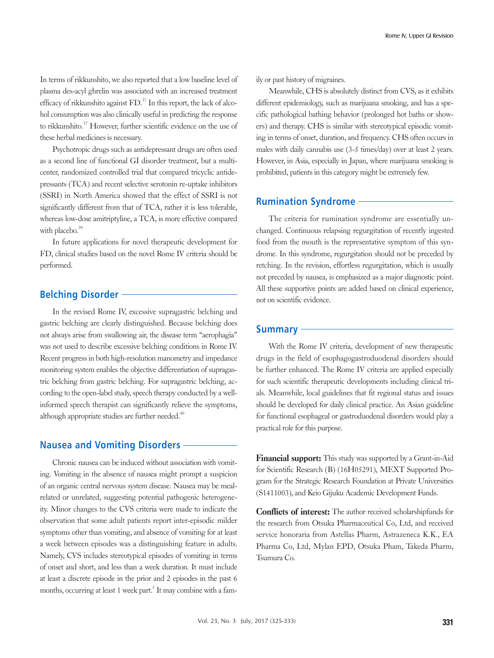In terms of rikkunshito, we also reported that a low baseline level of plasma des-acyl ghrelin was associated with an increased treatment efficacy of rikkunshito against  $FD^{37}$  In this report, the lack of alcohol consumption was also clinically useful in predicting the response to rikkunshito.<sup>37</sup> However, further scientific evidence on the use of these herbal medicines is necessary.

Psychotropic drugs such as antidepressant drugs are often used as a second line of functional GI disorder treatment, but a multicenter, randomized controlled trial that compared tricyclic antidepressants (TCA) and recent selective serotonin re-uptake inhibitors (SSRI) in North America showed that the effect of SSRI is not significantly different from that of TCA, rather it is less tolerable, whereas low-dose amitriptyline, a TCA, is more effective compared with placebo. $39$ 

In future applications for novel therapeutic development for FD, clinical studies based on the novel Rome IV criteria should be performed.

# **Belching Disorder**

In the revised Rome IV, excessive supragastric belching and gastric belching are clearly distinguished. Because belching does not always arise from swallowing air, the disease term "aerophagia" was not used to describe excessive belching conditions in Rome IV. Recent progress in both high-resolution manometry and impedance monitoring system enables the objective differentiation of supragastric belching from gastric belching. For supragastric belching, according to the open-label study, speech therapy conducted by a wellinformed speech therapist can significantly relieve the symptoms, although appropriate studies are further needed.<sup>40</sup>

## **Nausea and Vomiting Disorders**

Chronic nausea can be induced without association with vomiting. Vomiting in the absence of nausea might prompt a suspicion of an organic central nervous system disease. Nausea may be mealrelated or unrelated, suggesting potential pathogenic heterogeneity. Minor changes to the CVS criteria were made to indicate the observation that some adult patients report inter-episodic milder symptoms other than vomiting, and absence of vomiting for at least a week between episodes was a distinguishing feature in adults. Namely, CVS includes stereotypical episodes of vomiting in terms of onset and short, and less than a week duration. It must include at least a discrete episode in the prior and 2 episodes in the past 6 months, occurring at least 1 week part.<sup>5</sup> It may combine with a family or past history of migraines.

Meanwhile, CHS is absolutely distinct from CVS, as it exhibits different epidemiology, such as marijuana smoking, and has a specific pathological bathing behavior (prolonged hot baths or showers) and therapy. CHS is similar with stereotypical episodic vomiting in terms of onset, duration, and frequency. CHS often occurs in males with daily cannabis use (3-5 times/day) over at least 2 years. However, in Asia, especially in Japan, where marijuana smoking is prohibited, patients in this category might be extremely few.

### **Rumination Syndrome**

The criteria for rumination syndrome are essentially unchanged. Continuous relapsing regurgitation of recently ingested food from the mouth is the representative symptom of this syndrome. In this syndrome, regurgitation should not be preceded by retching. In the revision, effortless regurgitation, which is usually not preceded by nausea, is emphasized as a major diagnostic point. All these supportive points are added based on clinical experience, not on scientific evidence.

## **Summary**

With the Rome IV criteria, development of new therapeutic drugs in the field of esophagogastroduodenal disorders should be further enhanced. The Rome IV criteria are applied especially for such scientific therapeutic developments including clinical trials. Meanwhile, local guidelines that fit regional status and issues should be developed for daily clinical practice. An Asian guideline for functional esophageal or gastroduodenal disorders would play a practical role for this purpose.

Financial support: This study was supported by a Grant-in-Aid for Scientific Research (B) (16H05291), MEXT Supported Program for the Strategic Research Foundation at Private Universities (S1411003), and Keio Gijuku Academic Development Funds.

Conflicts of interest: The author received scholarshipfunds for the research from Otsuka Pharmaceutical Co, Ltd, and received service honoraria from Astellas Pharm, Astrazeneca K.K., EA Pharma Co, Ltd, Mylan EPD, Otsuka Pham, Takeda Pharm, Tsumura Co.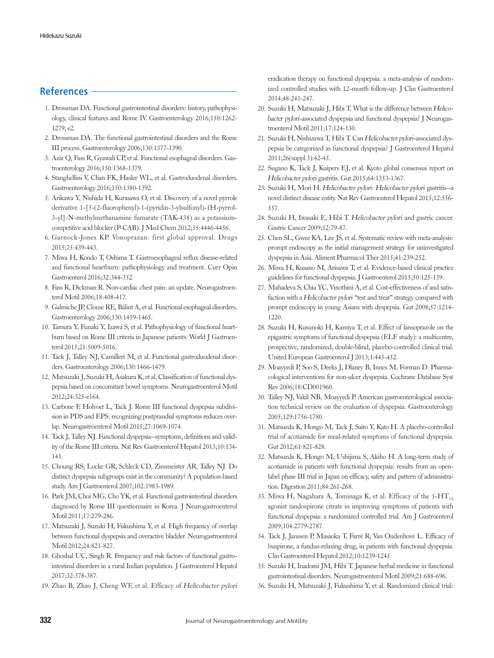## **References**

- 1. Drossman DA. Functional gastrointestinal disorders: history, pathophysiology, clinical features and Rome IV. Gastroenterology 2016;150:1262- 1279, e2.
- 2. Drossman DA. The functional gastrointestinal disorders and the Rome III process. Gastroenterology 2006;130:1377-1390.
- 3. Aziz Q, Fass R, Gyawali CP, et al. Functional esophageal disorders. Gastroenterology 2016;150:1368-1379.
- 4. Stanghellini V, Chan FK, Hasler WL, et al. Gastroduodenal disorders. Gastroenterology 2016;150:1380-1392.
- 5. Arikawa Y, Nishida H, Kurasawa O, et al. Discovery of a novel pyrrole derivative 1-[5-(2-fluorophenyl)-1-(pyridin-3-ylsulfonyl)-1H-pyrrol-3-yl]-N-methylmethanamine fumarate (TAK-438) as a potassiumcompetitive acid blocker (P-CAB). J Med Chem 2012;55:4446-4456.
- 6. Garnock-Jones KP. Vonoprazan: first global approval. Drugs 2015;75:439-443.
- 7. Miwa H, Kondo T, Oshima T. Gastroesophageal reflux disease-related and functional heartburn: pathophysiology and treatment. Curr Opin Gastroenterol 2016;32:344-352.
- 8. Fass R, Dickman R. Non-cardiac chest pain: an update. Neurogastroenterol Motil 2006;18:408-417.
- 9. Galmiche JP, Clouse RE, Bálint A, et al. Functional esophageal disorders. Gastroenterology 2006;130:1459-1465.
- 10. Tamura Y, Funaki Y, Izawa S, et al. Pathophysiology of functional heartburn based on Rome III criteria in Japanese patients. World J Gastroenterol 2015;21:5009-5016.
- 11. Tack J, Talley NJ, Camilleri M, et al. Functional gastroduodenal disorders. Gastroenterology 2006;130:1466-1479.
- 12. Matsuzaki J, Suzuki H, Asakura K, et al. Classification of functional dyspepsia based on concomitant bowel symptoms. Neurogastroenterol Motil 2012;24:325-e164.
- 13. Carbone F, Holvoet L, Tack J. Rome III functional dyspepsia subdivision in PDS and EPS: recognizing postprandial symptoms reduces overlap. Neurogastroenterol Motil 2015;27:1069-1074.
- 14. Tack J, Talley NJ. Functional dyspepsia--symptoms, definitions and validity of the Rome III criteria. Nat Rev Gastroenterol Hepatol 2013;10:134- 141.
- 15. Choung RS, Locke GR, Schleck CD, Zinsmeister AR, Talley NJ. Do distinct dyspepsia subgroups exist in the community? A population-based study. Am J Gastroenterol 2007;102:1983-1989.
- 16. Park JM, Choi MG, Cho YK, et al. Functional gastrointestinal disorders diagnosed by Rome III questionnaire in Korea. J Neurogastroenterol Motil 2011;17:279-286.
- 17. Matsuzaki J, Suzuki H, Fukushima Y, et al. High frequency of overlap between functional dyspepsia and overactive bladder. Neurogastroenterol Motil 2012;24:821-827.
- 18. Ghoshal UC, Singh R. Frequency and risk factors of functional gastrointestinal disorders in a rural Indian population. J Gastroenterol Hepatol 2017;32:378-387.
- 19. Zhao B, Zhao J, Cheng WF, et al. Efficacy of Helicobacter pylori

eradication therapy on functional dyspepsia: a meta-analysis of randomized controlled studies with 12-month follow-up. J Clin Gastroenterol 2014;48:241-247.

- 20. Suzuki H, Matsuzaki J, Hibi T. What is the difference between Helicobacter pylori-associated dyspepsia and functional dyspepsia? J Neurogastroenterol Motil 2011;17:124-130.
- 21. Suzuki H, Nishizawa T, Hibi T. Can Helicobacter pylori-associated dyspepsia be categorized as functional dyspepsia? J Gastroenterol Hepatol 2011;26(suppl 3):42-45.
- 22. Sugano K, Tack J, Kuipers EJ, et al. Kyoto global consensus report on Helicobacter pylori gastritis. Gut 2015;64:1353-1367.
- 23. Suzuki H, Mori H. Helicobacter pylori: Helicobacter pylori gastritis--a novel distinct disease entity. Nat Rev Gastroenterol Hepatol 2015;12:556- 557.
- 24. Suzuki H, Iwasaki E, Hibi T. Helicobacter pylori and gastric cancer. Gastric Cancer 2009;12:79-87.
- 25. Chen SL, Gwee KA, Lee JS, et al. Systematic review with meta-analysis: prompt endoscopy as the initial management strategy for uninvestigated dyspepsia in Asia. Aliment Pharmacol Ther 2015;41:239-252.
- 26. Miwa H, Kusano M, Arisawa T, et al. Evidence-based clinical practice guidelines for functional dyspepsia. J Gastroenterol 2015;50:125-139.
- 27. Mahadeva S, Chia YC, Vinothini A, et al. Cost-effectiveness of and satisfaction with a Helicobacter pylori "test and treat" strategy compared with prompt endoscopy in young Asians with dyspepsia. Gut 2008;57:1214- 1220.
- 28. Suzuki H, Kusunoki H, Kamiya T, et al. Effect of lansoprazole on the epigastric symptoms of functional dyspepsia (ELF study): a multicentre, prospective, randomized, double-blind, placebo-controlled clinical trial. United European Gastroenterol J 2013;1:445-452.
- 29. Moayyedi P, Soo S, Deeks J, Dlaney B, Innes M, Forman D. Pharmacological interventions for non-ulcer dyspepsia. Cochrane Database Syst Rev 2006;18:CD001960.
- 30. Talley NJ, Vakil NB, Moayyedi P. American gastroenterological association technical review on the evaluation of dyspepsia. Gastroenterology 2005;129:1756-1780.
- 31. Matsueda K, Hongo M, Tack J, Saito Y, Kato H. A placebo-controlled trial of acotiamide for meal-related symptoms of functional dyspepsia. Gut 2012;61:821-828.
- 32. Matsueda K, Hongo M, Ushijima S, Akiho H. A long-term study of acotiamide in patients with functional dyspepsia: results from an openlabel phase III trial in Japan on efficacy, safety and pattern of administration. Digestion 2011;84:261-268.
- 33. Miwa H, Nagahara A, Tominaga K, et al. Efficacy of the  $5-HT<sub>1A</sub>$ agonist tandospirone citrate in improving symptoms of patients with functional dyspepsia: a randomized controlled trial. Am J Gastroenterol 2009;104:2779-2787.
- 34. Tack J, Janssen P, Masaoka T, Farré R, Van Oudenhove L. Efficacy of buspirone, a fundus-relaxing drug, in patients with functional dyspepsia. Clin Gastroenterol Hepatol 2012;10:1239-1245.
- 35. Suzuki H, Inadomi JM, Hibi T. Japanese herbal medicine in functional gastrointestinal disorders. Neurogastroenterol Motil 2009;21:688-696.
- 36. Suzuki H, Matsuzaki J, Fukushima Y, et al. Randomized clinical trial: